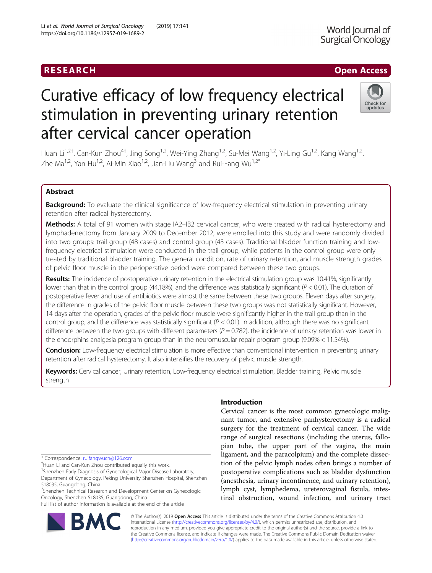after cervical cancer operation

# RESEARCH **RESEARCH CHOOSE ACCESS**

# Curative efficacy of low frequency electrical Check for undates stimulation in preventing urinary retention

Huan Li<sup>1,2†</sup>, Can-Kun Zhou<sup>4†</sup>, Jing Song<sup>1,2</sup>, Wei-Ying Zhang<sup>1,2</sup>, Su-Mei Wang<sup>1,2</sup>, Yi-Ling Gu<sup>1,2</sup>, Kang Wang<sup>1,2</sup>, Zhe Ma<sup>1,2</sup>, Yan Hu<sup>1,2</sup>, Ai-Min Xiao<sup>1,2</sup>, Jian-Liu Wang<sup>3</sup> and Rui-Fang Wu<sup>1,2\*</sup>

# Abstract

Background: To evaluate the clinical significance of low-frequency electrical stimulation in preventing urinary retention after radical hysterectomy.

Methods: A total of 91 women with stage IA2-IB2 cervical cancer, who were treated with radical hysterectomy and lymphadenectomy from January 2009 to December 2012, were enrolled into this study and were randomly divided into two groups: trail group (48 cases) and control group (43 cases). Traditional bladder function training and lowfrequency electrical stimulation were conducted in the trail group, while patients in the control group were only treated by traditional bladder training. The general condition, rate of urinary retention, and muscle strength grades of pelvic floor muscle in the perioperative period were compared between these two groups.

Results: The incidence of postoperative urinary retention in the electrical stimulation group was 10.41%, significantly lower than that in the control group (44.18%), and the difference was statistically significant ( $P < 0.01$ ). The duration of postoperative fever and use of antibiotics were almost the same between these two groups. Eleven days after surgery, the difference in grades of the pelvic floor muscle between these two groups was not statistically significant. However, 14 days after the operation, grades of the pelvic floor muscle were significantly higher in the trail group than in the control group, and the difference was statistically significant ( $P < 0.01$ ). In addition, although there was no significant difference between the two groups with different parameters ( $P = 0.782$ ), the incidence of urinary retention was lower in the endorphins analgesia program group than in the neuromuscular repair program group (9.09% < 11.54%).

**Conclusion:** Low-frequency electrical stimulation is more effective than conventional intervention in preventing urinary retention after radical hysterectomy. It also intensifies the recovery of pelvic muscle strength.

Keywords: Cervical cancer, Urinary retention, Low-frequency electrical stimulation, Bladder training, Pelvic muscle strength

\* Correspondence: [ruifangwucn@126.com](mailto:ruifangwucn@126.com) †

<sup>+</sup>Huan Li and Can-Kun Zhou contributed equally this work.

<sup>1</sup>Shenzhen Early Diagnosis of Gynecological Major Disease Laboratory, Department of Gynecology, Peking University Shenzhen Hospital, Shenzhen 518035, Guangdong, China

<sup>2</sup>Shenzhen Technical Research and Development Center on Gynecologic Oncology, Shenzhen 518035, Guangdong, China

Full list of author information is available at the end of the article



## Introduction

Cervical cancer is the most common gynecologic malignant tumor, and extensive panhysterectomy is a radical surgery for the treatment of cervical cancer. The wide range of surgical resections (including the uterus, fallopian tube, the upper part of the vagina, the main ligament, and the paracolpium) and the complete dissection of the pelvic lymph nodes often brings a number of postoperative complications such as bladder dysfunction (anesthesia, urinary incontinence, and urinary retention), lymph cyst, lymphedema, ureterovaginal fistula, intestinal obstruction, wound infection, and urinary tract

© The Author(s). 2019 **Open Access** This article is distributed under the terms of the Creative Commons Attribution 4.0 International License [\(http://creativecommons.org/licenses/by/4.0/](http://creativecommons.org/licenses/by/4.0/)), which permits unrestricted use, distribution, and reproduction in any medium, provided you give appropriate credit to the original author(s) and the source, provide a link to the Creative Commons license, and indicate if changes were made. The Creative Commons Public Domain Dedication waiver [\(http://creativecommons.org/publicdomain/zero/1.0/](http://creativecommons.org/publicdomain/zero/1.0/)) applies to the data made available in this article, unless otherwise stated.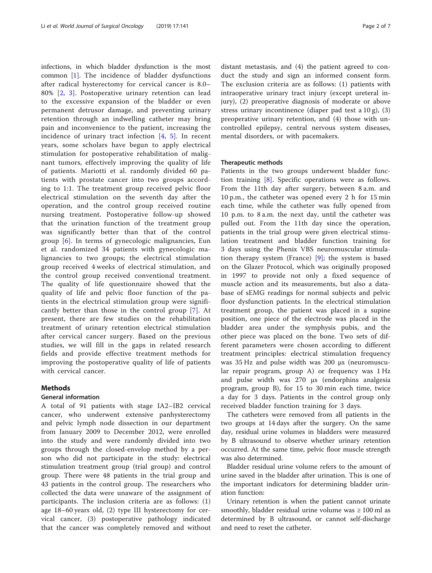infections, in which bladder dysfunction is the most common [\[1](#page-5-0)]. The incidence of bladder dysfunctions after radical hysterectomy for cervical cancer is 8.0– 80% [\[2](#page-5-0), [3](#page-5-0)]. Postoperative urinary retention can lead to the excessive expansion of the bladder or even permanent detrusor damage, and preventing urinary retention through an indwelling catheter may bring pain and inconvenience to the patient, increasing the incidence of urinary tract infection  $[4, 5]$  $[4, 5]$  $[4, 5]$  $[4, 5]$  $[4, 5]$ . In recent years, some scholars have begun to apply electrical stimulation for postoperative rehabilitation of malignant tumors, effectively improving the quality of life of patients. Mariotti et al. randomly divided 60 patients with prostate cancer into two groups according to 1:1. The treatment group received pelvic floor electrical stimulation on the seventh day after the operation, and the control group received routine nursing treatment. Postoperative follow-up showed that the urination function of the treatment group was significantly better than that of the control group [[6](#page-5-0)]. In terms of gynecologic malignancies, Eun et al. randomized 34 patients with gynecologic malignancies to two groups; the electrical stimulation group received 4 weeks of electrical stimulation, and the control group received conventional treatment. The quality of life questionnaire showed that the quality of life and pelvic floor function of the patients in the electrical stimulation group were significantly better than those in the control group [[7](#page-5-0)]. At present, there are few studies on the rehabilitation treatment of urinary retention electrical stimulation after cervical cancer surgery. Based on the previous studies, we will fill in the gaps in related research fields and provide effective treatment methods for improving the postoperative quality of life of patients with cervical cancer.

#### Methods

### General information

A total of 91 patients with stage IA2–IB2 cervical cancer, who underwent extensive panhysterectomy and pelvic lymph node dissection in our department from January 2009 to December 2012, were enrolled into the study and were randomly divided into two groups through the closed-envelop method by a person who did not participate in the study: electrical stimulation treatment group (trial group) and control group. There were 48 patients in the trial group and 43 patients in the control group. The researchers who collected the data were unaware of the assignment of participants. The inclusion criteria are as follows: (1) age 18–60 years old, (2) type III hysterectomy for cervical cancer, (3) postoperative pathology indicated that the cancer was completely removed and without distant metastasis, and (4) the patient agreed to conduct the study and sign an informed consent form. The exclusion criteria are as follows: (1) patients with intraoperative urinary tract injury (except ureteral injury), (2) preoperative diagnosis of moderate or above stress urinary incontinence (diaper pad test a 10 g), (3) preoperative urinary retention, and (4) those with uncontrolled epilepsy, central nervous system diseases, mental disorders, or with pacemakers.

#### Therapeutic methods

Patients in the two groups underwent bladder function training  $[8]$  $[8]$ . Specific operations were as follows. From the 11th day after surgery, between 8 a.m. and 10 p.m., the catheter was opened every 2 h for 15 min each time, while the catheter was fully opened from 10 p.m. to 8 a.m. the next day, until the catheter was pulled out. From the 11th day since the operation, patients in the trial group were given electrical stimulation treatment and bladder function training for 3 days using the Phenix VBS neuromuscular stimulation therapy system (France) [[9\]](#page-5-0); the system is based on the Glazer Protocol, which was originally proposed in 1997 to provide not only a fixed sequence of muscle action and its measurements, but also a database of sEMG readings for normal subjects and pelvic floor dysfunction patients. In the electrical stimulation treatment group, the patient was placed in a supine position, one piece of the electrode was placed in the bladder area under the symphysis pubis, and the other piece was placed on the bone. Two sets of different parameters were chosen according to different treatment principles: electrical stimulation frequency was 35 Hz and pulse width was 200 μs (neuromuscular repair program, group A) or frequency was 1 Hz and pulse width was 270 μs (endorphins analgesia program, group B), for 15 to 30 min each time, twice a day for 3 days. Patients in the control group only received bladder function training for 3 days.

The catheters were removed from all patients in the two groups at 14 days after the surgery. On the same day, residual urine volumes in bladders were measured by B ultrasound to observe whether urinary retention occurred. At the same time, pelvic floor muscle strength was also determined.

Bladder residual urine volume refers to the amount of urine saved in the bladder after urination. This is one of the important indicators for determining bladder urination function:

Urinary retention is when the patient cannot urinate smoothly, bladder residual urine volume was  $\geq 100$  ml as determined by B ultrasound, or cannot self-discharge and need to reset the catheter.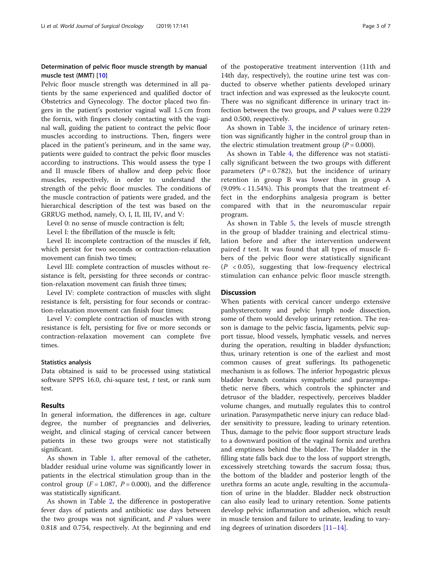### Determination of pelvic floor muscle strength by manual muscle test (MMT) [[10\]](#page-5-0)

Pelvic floor muscle strength was determined in all patients by the same experienced and qualified doctor of Obstetrics and Gynecology. The doctor placed two fingers in the patient's posterior vaginal wall 1.5 cm from the fornix, with fingers closely contacting with the vaginal wall, guiding the patient to contract the pelvic floor muscles according to instructions. Then, fingers were placed in the patient's perineum, and in the same way, patients were guided to contract the pelvic floor muscles according to instructions. This would assess the type I and II muscle fibers of shallow and deep pelvic floor muscles, respectively, in order to understand the strength of the pelvic floor muscles. The conditions of the muscle contraction of patients were graded, and the hierarchical description of the test was based on the GRRUG method, namely, O, I, II, III, IV, and V:

Level 0: no sense of muscle contraction is felt;

Level I: the fibrillation of the muscle is felt;

Level II: incomplete contraction of the muscles if felt, which persist for two seconds or contraction-relaxation movement can finish two times;

Level III: complete contraction of muscles without resistance is felt, persisting for three seconds or contraction-relaxation movement can finish three times;

Level IV: complete contraction of muscles with slight resistance is felt, persisting for four seconds or contraction-relaxation movement can finish four times;

Level V: complete contraction of muscles with strong resistance is felt, persisting for five or more seconds or contraction-relaxation movement can complete five times.

#### Statistics analysis

Data obtained is said to be processed using statistical software SPPS 16.0, chi-square test,  $t$  test, or rank sum test.

#### Results

In general information, the differences in age, culture degree, the number of pregnancies and deliveries, weight, and clinical staging of cervical cancer between patients in these two groups were not statistically significant.

As shown in Table [1](#page-3-0), after removal of the catheter, bladder residual urine volume was significantly lower in patients in the electrical stimulation group than in the control group ( $F = 1.087$ ,  $P = 0.000$ ), and the difference was statistically significant.

As shown in Table [2](#page-3-0), the difference in postoperative fever days of patients and antibiotic use days between the two groups was not significant, and  $P$  values were 0.818 and 0.754, respectively. At the beginning and end of the postoperative treatment intervention (11th and 14th day, respectively), the routine urine test was conducted to observe whether patients developed urinary tract infection and was expressed as the leukocyte count. There was no significant difference in urinary tract infection between the two groups, and  $P$  values were 0.229 and 0.500, respectively.

As shown in Table [3](#page-4-0), the incidence of urinary retention was significantly higher in the control group than in the electric stimulation treatment group  $(P = 0.000)$ .

As shown in Table [4,](#page-4-0) the difference was not statistically significant between the two groups with different parameters  $(P = 0.782)$ , but the incidence of urinary retention in group B was lower than in group A  $(9.09\% < 11.54\%)$ . This prompts that the treatment effect in the endorphins analgesia program is better compared with that in the neuromuscular repair program.

As shown in Table [5](#page-5-0), the levels of muscle strength in the group of bladder training and electrical stimulation before and after the intervention underwent paired  $t$  test. It was found that all types of muscle fibers of the pelvic floor were statistically significant  $(P < 0.05)$ , suggesting that low-frequency electrical stimulation can enhance pelvic floor muscle strength.

#### **Discussion**

When patients with cervical cancer undergo extensive panhysterectomy and pelvic lymph node dissection, some of them would develop urinary retention. The reason is damage to the pelvic fascia, ligaments, pelvic support tissue, blood vessels, lymphatic vessels, and nerves during the operation, resulting in bladder dysfunction; thus, urinary retention is one of the earliest and most common causes of great sufferings. Its pathogenetic mechanism is as follows. The inferior hypogastric plexus bladder branch contains sympathetic and parasympathetic nerve fibers, which controls the sphincter and detrusor of the bladder, respectively, perceives bladder volume changes, and mutually regulates this to control urination. Parasympathetic nerve injury can reduce bladder sensitivity to pressure, leading to urinary retention. Thus, damage to the pelvic floor support structure leads to a downward position of the vaginal fornix and urethra and emptiness behind the bladder. The bladder in the filling state falls back due to the loss of support strength, excessively stretching towards the sacrum fossa; thus, the bottom of the bladder and posterior length of the urethra forms an acute angle, resulting in the accumulation of urine in the bladder. Bladder neck obstruction can also easily lead to urinary retention. Some patients develop pelvic inflammation and adhesion, which result in muscle tension and failure to urinate, leading to varying degrees of urination disorders [[11](#page-5-0)–[14](#page-5-0)].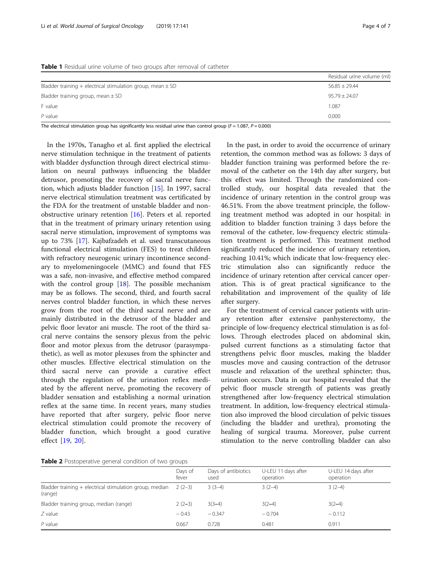<span id="page-3-0"></span>

|  |  |  |  |  | Table 1 Residual urine volume of two groups after removal of catheter |
|--|--|--|--|--|-----------------------------------------------------------------------|
|  |  |  |  |  |                                                                       |

|                                                                | Residual urine volume (ml) |
|----------------------------------------------------------------|----------------------------|
| Bladder training + electrical stimulation group, mean $\pm$ SD | $56.85 \pm 29.44$          |
| Bladder training group, mean $\pm$ SD                          | $95.79 \pm 24.07$          |
| F value                                                        | 1.087                      |
| $P$ value                                                      | 0.000                      |

The electrical stimulation group has significantly less residual urine than control group ( $F = 1.087$ ,  $P = 0.000$ )

In the 1970s, Tanagho et al. first applied the electrical nerve stimulation technique in the treatment of patients with bladder dysfunction through direct electrical stimulation on neural pathways influencing the bladder detrusor, promoting the recovery of sacral nerve function, which adjusts bladder function [[15\]](#page-5-0). In 1997, sacral nerve electrical stimulation treatment was certificated by the FDA for the treatment of unstable bladder and nonobstructive urinary retention [\[16](#page-6-0)]. Peters et al. reported that in the treatment of primary urinary retention using sacral nerve stimulation, improvement of symptoms was up to 73% [[17\]](#page-6-0). Kajbafzadeh et al. used transcutaneous functional electrical stimulation (FES) to treat children with refractory neurogenic urinary incontinence secondary to myelomeningocele (MMC) and found that FES was a safe, non-invasive, and effective method compared with the control group  $[18]$  $[18]$  $[18]$ . The possible mechanism may be as follows. The second, third, and fourth sacral nerves control bladder function, in which these nerves grow from the root of the third sacral nerve and are mainly distributed in the detrusor of the bladder and pelvic floor levator ani muscle. The root of the third sacral nerve contains the sensory plexus from the pelvic floor and motor plexus from the detrusor (parasympathetic), as well as motor plexuses from the sphincter and other muscles. Effective electrical stimulation on the third sacral nerve can provide a curative effect through the regulation of the urination reflex mediated by the afferent nerve, promoting the recovery of bladder sensation and establishing a normal urination reflex at the same time. In recent years, many studies have reported that after surgery, pelvic floor nerve electrical stimulation could promote the recovery of bladder function, which brought a good curative effect [[19](#page-6-0), [20\]](#page-6-0).

In the past, in order to avoid the occurrence of urinary retention, the common method was as follows: 3 days of bladder function training was performed before the removal of the catheter on the 14th day after surgery, but this effect was limited. Through the randomized controlled study, our hospital data revealed that the incidence of urinary retention in the control group was 46.51%. From the above treatment principle, the following treatment method was adopted in our hospital: in addition to bladder function training 3 days before the removal of the catheter, low-frequency electric stimulation treatment is performed. This treatment method significantly reduced the incidence of urinary retention, reaching 10.41%; which indicate that low-frequency electric stimulation also can significantly reduce the incidence of urinary retention after cervical cancer operation. This is of great practical significance to the rehabilitation and improvement of the quality of life after surgery.

For the treatment of cervical cancer patients with urinary retention after extensive panhysterectomy, the principle of low-frequency electrical stimulation is as follows. Through electrodes placed on abdominal skin, pulsed current functions as a stimulating factor that strengthens pelvic floor muscles, making the bladder muscles move and causing contraction of the detrusor muscle and relaxation of the urethral sphincter; thus, urination occurs. Data in our hospital revealed that the pelvic floor muscle strength of patients was greatly strengthened after low-frequency electrical stimulation treatment. In addition, low-frequency electrical stimulation also improved the blood circulation of pelvic tissues (including the bladder and urethra), promoting the healing of surgical trauma. Moreover, pulse current stimulation to the nerve controlling bladder can also

|                                                                    | Days of<br>fever | Days of antibiotics<br>used | U-LEU 11 days after<br>operation | U-LEU 14 days after<br>operation |
|--------------------------------------------------------------------|------------------|-----------------------------|----------------------------------|----------------------------------|
| Bladder training + electrical stimulation group, median<br>(range) | $2(2-3)$         | $3(3-4)$                    | $3(2-4)$                         | $3(2-4)$                         |
| Bladder training group, median (range)                             | $2(2-3)$         | $3(3-4)$                    | $3(2-4)$                         | $3(2-4)$                         |
| $Z$ value                                                          | $-0.43$          | $-0.347$                    | $-0.704$                         | $-0.112$                         |
| $P$ value                                                          | 0.667            | 0.728                       | 0.481                            | 0.911                            |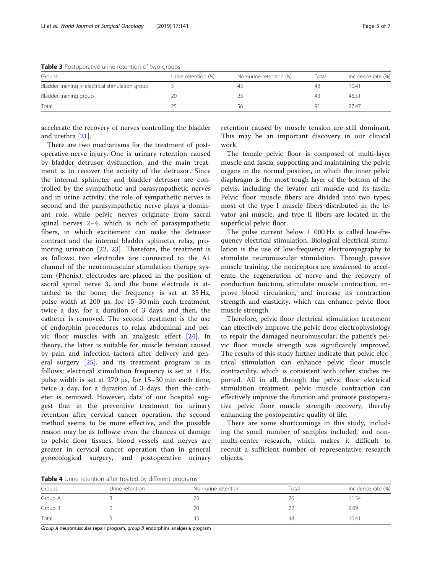<span id="page-4-0"></span>Table 3 Postoperative urine retention of two groups

| Groups                                          | Urine retention (M) | Non-urine retention (M) | Total | Incidence rate (%) |
|-------------------------------------------------|---------------------|-------------------------|-------|--------------------|
| Bladder training + electrical stimulation group |                     | -43                     | 48    | 10.41              |
| Bladder training group                          | 20                  | 23                      | 43    | 46.51              |
| Total                                           |                     | 56                      |       | 27.47              |

accelerate the recovery of nerves controlling the bladder and urethra [[21\]](#page-6-0).

There are two mechanisms for the treatment of postoperative nerve injury. One is urinary retention caused by bladder detrusor dysfunction, and the main treatment is to recover the activity of the detrusor. Since the internal sphincter and bladder detrusor are controlled by the sympathetic and parasympathetic nerves and in urine activity, the role of sympathetic nerves is second and the parasympathetic nerve plays a dominant role, while pelvic nerves originate from sacral spinal nerves 2–4, which is rich of parasympathetic fibers, in which excitement can make the detrusor contract and the internal bladder sphincter relax, promoting urination [[22,](#page-6-0) [23\]](#page-6-0). Therefore, the treatment is as follows: two electrodes are connected to the A1 channel of the neuromuscular stimulation therapy system (Phenix), electrodes are placed in the position of sacral spinal nerve 3, and the bone electrode is attached to the bone; the frequency is set at 35 Hz, pulse width at 200 μs, for 15–30 min each treatment, twice a day, for a duration of 3 days, and then, the catheter is removed. The second treatment is the use of endorphin procedures to relax abdominal and pelvic floor muscles with an analgesic effect [[24\]](#page-6-0). In theory, the latter is suitable for muscle tension caused by pain and infection factors after delivery and general surgery [\[25](#page-6-0)], and its treatment program is as follows: electrical stimulation frequency is set at 1 Hz, pulse width is set at 270 μs, for 15–30 min each time, twice a day, for a duration of 3 days, then the catheter is removed. However, data of our hospital suggest that in the preventive treatment for urinary retention after cervical cancer operation, the second method seems to be more effective, and the possible reason may be as follows: even the chances of damage to pelvic floor tissues, blood vessels and nerves are greater in cervical cancer operation than in general gynecological surgery, and postoperative urinary retention caused by muscle tension are still dominant. This may be an important discovery in our clinical work.

The female pelvic floor is composed of multi-layer muscle and fascia, supporting and maintaining the pelvic organs in the normal position, in which the inner pelvic diaphragm is the most tough layer of the bottom of the pelvis, including the levator ani muscle and its fascia. Pelvic floor muscle fibers are divided into two types; most of the type I muscle fibers distributed in the levator ani muscle, and type II fibers are located in the superficial pelvic floor.

The pulse current below 1 000 Hz is called low-frequency electrical stimulation. Biological electrical stimulation is the use of low-frequency electromyography to stimulate neuromuscular stimulation. Through passive muscle training, the nociceptors are awakened to accelerate the regeneration of nerve and the recovery of conduction function, stimulate muscle contraction, improve blood circulation, and increase its contraction strength and elasticity, which can enhance pelvic floor muscle strength.

Therefore, pelvic floor electrical stimulation treatment can effectively improve the pelvic floor electrophysiology to repair the damaged neuromuscular; the patient's pelvic floor muscle strength was significantly improved. The results of this study further indicate that pelvic electrical stimulation can enhance pelvic floor muscle contractility, which is consistent with other studies reported. All in all, through the pelvic floor electrical stimulation treatment, pelvic muscle contraction can effectively improve the function and promote postoperative pelvic floor muscle strength recovery, thereby enhancing the postoperative quality of life.

There are some shortcomings in this study, including the small number of samples included, and nonmulti-center research, which makes it difficult to recruit a sufficient number of representative research objects.

Table 4 Urine retention after treated by different programs

| Groups  | Urine retention | Non-urine retention | Total | Incidence rate (%) |  |
|---------|-----------------|---------------------|-------|--------------------|--|
| Group A |                 | ند                  | 26    | 11.54              |  |
| Group B |                 | 20                  |       | 9.09               |  |
| Total   |                 | 4 <sup>3</sup>      | 48    | 10.41              |  |

Group A neuromuscular repair program, group B endorphins analgesia program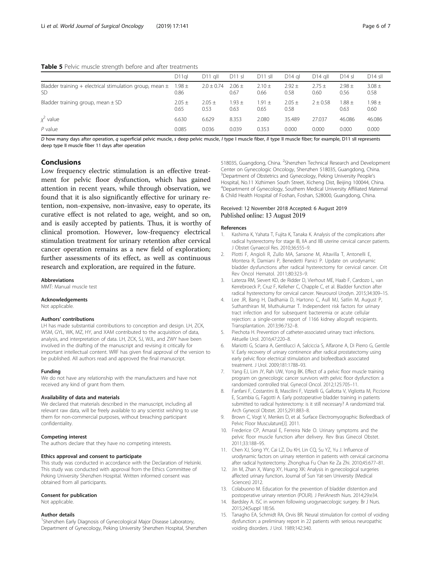#### <span id="page-5-0"></span>Table 5 Pelvic muscle strength before and after treatments

|                                                                          | D <sub>11</sub> al | D11 all            | D11 sI             | $D11$ sll          | D14 al             | D <sub>14</sub> all | D14 sl           | $D14$ sll          |
|--------------------------------------------------------------------------|--------------------|--------------------|--------------------|--------------------|--------------------|---------------------|------------------|--------------------|
| Bladder training + electrical stimulation group, mean $\pm$<br><b>SD</b> | $1.98 \pm$<br>0.86 | $2.0 \pm 0.74$     | $2.06 \pm$<br>0.67 | $2.10 \pm$<br>0.66 | $2.92 +$<br>0.58   | $2.75 +$<br>0.60    | $7.98 +$<br>0.56 | $3.08 \pm$<br>0.58 |
| Bladder training group, mean $\pm$ SD                                    | $2.05 \pm$<br>0.65 | $2.05 \pm$<br>0.53 | $1.93 +$<br>0.63   | $1.91 \pm$<br>0.65 | $2.05 \pm$<br>0.58 | $2 + 0.58$          | $1.88 +$<br>0.63 | $1.98 \pm$<br>0.60 |
| $x^2$ value                                                              | 6.630              | 6.629              | 8.353              | 2.080              | 35.489             | 27.037              | 46.086           | 46.086             |
| $P$ value                                                                | 0.085              | 0.036              | 0.039              | 0.353              | 0.000              | 0.000               | 0.000            | 0.000              |

D how many days after operation, q superficial pelvic muscle, s deep pelvic muscle, I type I muscle fiber, II type II muscle fiber; for example, D11 sII represents deep type II muscle fiber 11 days after operation

#### Conclusions

Low frequency electric stimulation is an effective treatment for pelvic floor dysfunction, which has gained attention in recent years, while through observation, we found that it is also significantly effective for urinary retention, non-expensive, non-invasive, easy to operate, its curative effect is not related to age, weight, and so on, and is easily accepted by patients. Thus, it is worthy of clinical promotion. However, low-frequency electrical stimulation treatment for urinary retention after cervical cancer operation remains as a new field of exploration; further assessments of its effect, as well as continuous research and exploration, are required in the future.

#### **Abbreviations**

MMT: Manual muscle test

#### Acknowledgements

Not applicable.

#### Authors' contributions

LH has made substantial contributions to conception and design. LH, ZCK, WSM, GYL, WK, MZ, HY, and XAM contributed to the acquisition of data, analysis, and interpretation of data. LH, ZCK, SJ, WJL, and ZWY have been involved in the drafting of the manuscript and revising it critically for important intellectual content. WRF has given final approval of the version to be published. All authors read and approved the final manuscript.

#### Funding

We do not have any relationship with the manufacturers and have not received any kind of grant from them.

#### Availability of data and materials

We declared that materials described in the manuscript, including all relevant raw data, will be freely available to any scientist wishing to use them for non-commercial purposes, without breaching participant confidentiality.

#### Competing interest

The authors declare that they have no competing interests.

#### Ethics approval and consent to participate

This study was conducted in accordance with the Declaration of Helsinki. This study was conducted with approval from the Ethics Committee of Peking University Shenzhen Hospital. Written informed consent was obtained from all participants.

#### Consent for publication

Not applicable.

#### Author details

<sup>1</sup>Shenzhen Early Diagnosis of Gynecological Major Disease Laboratory, Department of Gynecology, Peking University Shenzhen Hospital, Shenzhen

518035, Guangdong, China. <sup>2</sup>Shenzhen Technical Research and Development Center on Gynecologic Oncology, Shenzhen 518035, Guangdong, China. <sup>3</sup>Department of Obstetrics and Gynecology, Peking University People's Hospital, No.11 Xizhimen South Street, Xicheng Dist, Beijing 100044, China. 4 Department of Gynecology, Southern Medical University Affiliated Maternal & Child Health Hospital of Foshan, Foshan, 528000, Guangdong, China.

#### Received: 12 November 2018 Accepted: 6 August 2019 Published online: 13 August 2019

#### References

- 1. Kashima K, Yahata T, Fujita K, Tanaka K. Analysis of the complications after radical hysterectomy for stage IB, IIA and IIB uterine cervical cancer patients. J Obstet Gynaecol Res. 2010;36:555–9.
- 2. Plotti F, Angioli R, Zullo MA, Sansone M, Altavilla T, Antonelli E, Montera R, Damiani P, Benedetti Panici P. Update on urodynamic bladder dysfunctions after radical hysterectomy for cervical cancer. Crit Rev Oncol Hematol. 2011;80:323–9.
- 3. Laterza RM, Sievert KD, de Ridder D, Vierhout ME, Haab F, Cardozo L, van Kerrebroeck P, Cruz F, Kelleher C, Chapple C, et al. Bladder function after radical hysterectomy for cervical cancer. Neurourol Urodyn. 2015;34:309–15.
- 4. Lee JR, Bang H, Dadhania D, Hartono C, Aull MJ, Satlin M, August P, Suthanthiran M, Muthukumar T. Independent risk factors for urinary tract infection and for subsequent bacteremia or acute cellular rejection: a single-center report of 1166 kidney allograft recipients. Transplantation. 2013;96:732–8.
- Piechota H. Prevention of catheter-associated urinary tract infections. Aktuelle Urol. 2016;47:220–8.
- 6. Mariotti G, Sciarra A, Gentilucci A, Salciccia S, Alfarone A, Di Pierro G, Gentile V. Early recovery of urinary continence after radical prostatectomy using early pelvic floor electrical stimulation and biofeedback associated treatment. J Urol. 2009;181:1788–93.
- 7. Yang EJ, Lim JY, Rah UW, Yong BK. Effect of a pelvic floor muscle training program on gynecologic cancer survivors with pelvic floor dysfunction: a randomized controlled trial. Gynecol Oncol. 2012;125:705–11.
- 8. Fanfani F, Costantini B, Mascilini F, Vizzielli G, Gallotta V, Vigliotta M, Piccione E, Scambia G, Fagotti A. Early postoperative bladder training in patients submitted to radical hysterectomy: is it still necessary? A randomized trial. Arch Gynecol Obstet. 2015;291:883–8.
- 9. Brown C, Vogt V, Menkes D, et al. Surface Electromyographic Biofeedback of Pelvic Floor Musculature[J]. 2011.
- 10. Frederice CP, Amaral E, Ferreira Nde O. Urinary symptoms and the pelvic floor muscle function after delivery. Rev Bras Ginecol Obstet. 2011;33:188–95.
- 11. Chen XJ, Song YY, Cai LZ, Du KH, Lin CQ, Su YZ, Yu J. Influence of urodynamic factors on urinary retention in patients with cervical carcinoma after radical hysterectomy. Zhonghua Fu Chan Ke Za Zhi. 2010;45:677–81.
- 12. Jin M, Zhan X, Wang XY, Huang XK: Analysis in gynecological surgeries affected urinary function. Journal of Sun Yat-sen University (Medical Sciences) 2012.
- 13. Colabuono M. Education for the prevention of bladder distention and postoperative urinary retention (POUR). J PeriAnesth Nurs. 2014;29:e34.
- 14. Bardsley A. ISC in women following urogynaecologic surgery. Br J Nurs. 2015;24(Suppl 18):S6.
- 15. Tanagho EA, Schmidt RA, Orvis BR. Neural stimulation for control of voiding dysfunction: a preliminary report in 22 patients with serious neuropathic voiding disorders. J Urol. 1989;142:340.